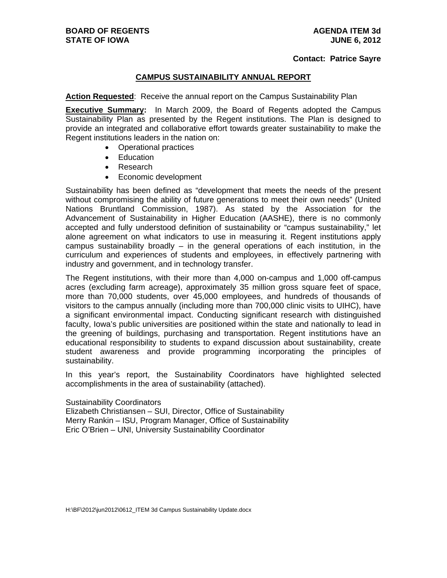#### **Contact: Patrice Sayre**

### **CAMPUS SUSTAINABILITY ANNUAL REPORT**

**Action Requested**: Receive the annual report on the Campus Sustainability Plan

**Executive Summary:** In March 2009, the Board of Regents adopted the Campus Sustainability Plan as presented by the Regent institutions. The Plan is designed to provide an integrated and collaborative effort towards greater sustainability to make the Regent institutions leaders in the nation on:

- Operational practices
- Education
- Research
- Economic development

Sustainability has been defined as "development that meets the needs of the present without compromising the ability of future generations to meet their own needs" (United Nations Bruntland Commission, 1987). As stated by the Association for the Advancement of Sustainability in Higher Education (AASHE), there is no commonly accepted and fully understood definition of sustainability or "campus sustainability," let alone agreement on what indicators to use in measuring it. Regent institutions apply campus sustainability broadly – in the general operations of each institution, in the curriculum and experiences of students and employees, in effectively partnering with industry and government, and in technology transfer.

The Regent institutions, with their more than 4,000 on-campus and 1,000 off-campus acres (excluding farm acreage), approximately 35 million gross square feet of space, more than 70,000 students, over 45,000 employees, and hundreds of thousands of visitors to the campus annually (including more than 700,000 clinic visits to UIHC), have a significant environmental impact. Conducting significant research with distinguished faculty, Iowa's public universities are positioned within the state and nationally to lead in the greening of buildings, purchasing and transportation. Regent institutions have an educational responsibility to students to expand discussion about sustainability, create student awareness and provide programming incorporating the principles of sustainability.

In this year's report, the Sustainability Coordinators have highlighted selected accomplishments in the area of sustainability (attached).

#### Sustainability Coordinators

Elizabeth Christiansen – SUI, Director, Office of Sustainability Merry Rankin – ISU, Program Manager, Office of Sustainability Eric O'Brien – UNI, University Sustainability Coordinator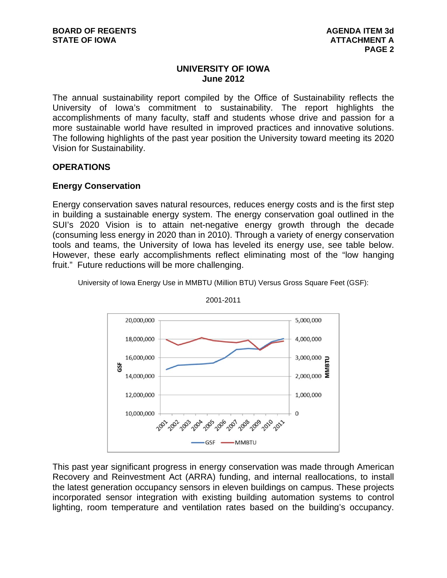# **UNIVERSITY OF IOWA June 2012**

The annual sustainability report compiled by the Office of Sustainability reflects the University of Iowa's commitment to sustainability. The report highlights the accomplishments of many faculty, staff and students whose drive and passion for a more sustainable world have resulted in improved practices and innovative solutions. The following highlights of the past year position the University toward meeting its 2020 Vision for Sustainability.

# **OPERATIONS**

# **Energy Conservation**

Energy conservation saves natural resources, reduces energy costs and is the first step in building a sustainable energy system. The energy conservation goal outlined in the SUI's 2020 Vision is to attain net-negative energy growth through the decade (consuming less energy in 2020 than in 2010). Through a variety of energy conservation tools and teams, the University of Iowa has leveled its energy use, see table below. However, these early accomplishments reflect eliminating most of the "low hanging fruit." Future reductions will be more challenging.



University of Iowa Energy Use in MMBTU (Million BTU) Versus Gross Square Feet (GSF):

This past year significant progress in energy conservation was made through American Recovery and Reinvestment Act (ARRA) funding, and internal reallocations, to install the latest generation occupancy sensors in eleven buildings on campus. These projects incorporated sensor integration with existing building automation systems to control lighting, room temperature and ventilation rates based on the building's occupancy.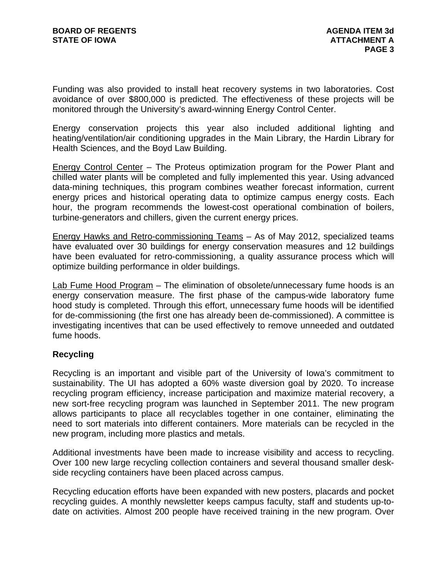Funding was also provided to install heat recovery systems in two laboratories. Cost avoidance of over \$800,000 is predicted. The effectiveness of these projects will be monitored through the University's award-winning Energy Control Center.

Energy conservation projects this year also included additional lighting and heating/ventilation/air conditioning upgrades in the Main Library, the Hardin Library for Health Sciences, and the Boyd Law Building.

Energy Control Center – The Proteus optimization program for the Power Plant and chilled water plants will be completed and fully implemented this year. Using advanced data-mining techniques, this program combines weather forecast information, current energy prices and historical operating data to optimize campus energy costs. Each hour, the program recommends the lowest-cost operational combination of boilers, turbine-generators and chillers, given the current energy prices.

Energy Hawks and Retro-commissioning Teams – As of May 2012, specialized teams have evaluated over 30 buildings for energy conservation measures and 12 buildings have been evaluated for retro-commissioning, a quality assurance process which will optimize building performance in older buildings.

Lab Fume Hood Program – The elimination of obsolete/unnecessary fume hoods is an energy conservation measure. The first phase of the campus-wide laboratory fume hood study is completed. Through this effort, unnecessary fume hoods will be identified for de-commissioning (the first one has already been de-commissioned). A committee is investigating incentives that can be used effectively to remove unneeded and outdated fume hoods.

# **Recycling**

Recycling is an important and visible part of the University of Iowa's commitment to sustainability. The UI has adopted a 60% waste diversion goal by 2020. To increase recycling program efficiency, increase participation and maximize material recovery, a new sort-free recycling program was launched in September 2011. The new program allows participants to place all recyclables together in one container, eliminating the need to sort materials into different containers. More materials can be recycled in the new program, including more plastics and metals.

Additional investments have been made to increase visibility and access to recycling. Over 100 new large recycling collection containers and several thousand smaller deskside recycling containers have been placed across campus.

Recycling education efforts have been expanded with new posters, placards and pocket recycling guides. A monthly newsletter keeps campus faculty, staff and students up-todate on activities. Almost 200 people have received training in the new program. Over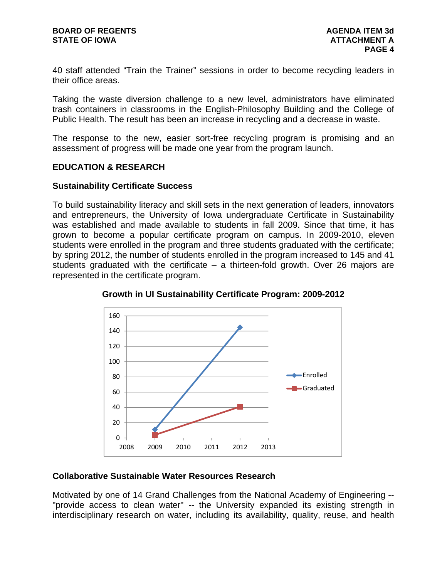40 staff attended "Train the Trainer" sessions in order to become recycling leaders in their office areas.

Taking the waste diversion challenge to a new level, administrators have eliminated trash containers in classrooms in the English-Philosophy Building and the College of Public Health. The result has been an increase in recycling and a decrease in waste.

The response to the new, easier sort-free recycling program is promising and an assessment of progress will be made one year from the program launch.

## **EDUCATION & RESEARCH**

## **Sustainability Certificate Success**

To build sustainability literacy and skill sets in the next generation of leaders, innovators and entrepreneurs, the University of Iowa undergraduate Certificate in Sustainability was established and made available to students in fall 2009. Since that time, it has grown to become a popular certificate program on campus. In 2009-2010, eleven students were enrolled in the program and three students graduated with the certificate; by spring 2012, the number of students enrolled in the program increased to 145 and 41 students graduated with the certificate  $-$  a thirteen-fold growth. Over 26 majors are represented in the certificate program.



**Growth in UI Sustainability Certificate Program: 2009-2012** 

## **Collaborative Sustainable Water Resources Research**

Motivated by one of 14 Grand Challenges from the National Academy of Engineering -- "provide access to clean water" -- the University expanded its existing strength in interdisciplinary research on water, including its availability, quality, reuse, and health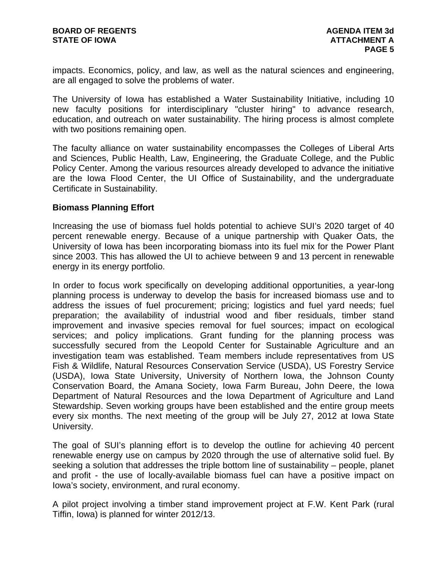impacts. Economics, policy, and law, as well as the natural sciences and engineering, are all engaged to solve the problems of water.

The University of Iowa has established a Water Sustainability Initiative, including 10 new faculty positions for interdisciplinary "cluster hiring" to advance research, education, and outreach on water sustainability. The hiring process is almost complete with two positions remaining open.

The faculty alliance on water sustainability encompasses the Colleges of Liberal Arts and Sciences, Public Health, Law, Engineering, the Graduate College, and the Public Policy Center. Among the various resources already developed to advance the initiative are the Iowa Flood Center, the UI Office of Sustainability, and the undergraduate Certificate in Sustainability.

## **Biomass Planning Effort**

Increasing the use of biomass fuel holds potential to achieve SUI's 2020 target of 40 percent renewable energy. Because of a unique partnership with Quaker Oats, the University of Iowa has been incorporating biomass into its fuel mix for the Power Plant since 2003. This has allowed the UI to achieve between 9 and 13 percent in renewable energy in its energy portfolio.

In order to focus work specifically on developing additional opportunities, a year-long planning process is underway to develop the basis for increased biomass use and to address the issues of fuel procurement; pricing; logistics and fuel yard needs; fuel preparation; the availability of industrial wood and fiber residuals, timber stand improvement and invasive species removal for fuel sources; impact on ecological services; and policy implications. Grant funding for the planning process was successfully secured from the Leopold Center for Sustainable Agriculture and an investigation team was established. Team members include representatives from US Fish & Wildlife, Natural Resources Conservation Service (USDA), US Forestry Service (USDA), Iowa State University, University of Northern Iowa, the Johnson County Conservation Board, the Amana Society, Iowa Farm Bureau, John Deere, the Iowa Department of Natural Resources and the Iowa Department of Agriculture and Land Stewardship. Seven working groups have been established and the entire group meets every six months. The next meeting of the group will be July 27, 2012 at Iowa State University.

The goal of SUI's planning effort is to develop the outline for achieving 40 percent renewable energy use on campus by 2020 through the use of alternative solid fuel. By seeking a solution that addresses the triple bottom line of sustainability – people, planet and profit - the use of locally-available biomass fuel can have a positive impact on Iowa's society, environment, and rural economy.

A pilot project involving a timber stand improvement project at F.W. Kent Park (rural Tiffin, Iowa) is planned for winter 2012/13.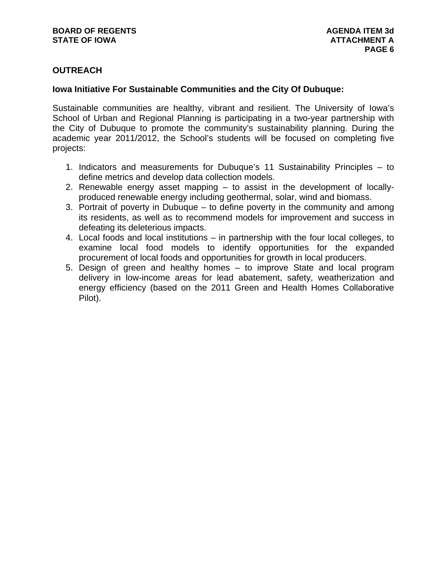# **OUTREACH**

## **Iowa Initiative For Sustainable Communities and the City Of Dubuque:**

Sustainable communities are healthy, vibrant and resilient. The University of Iowa's School of Urban and Regional Planning is participating in a two-year partnership with the City of Dubuque to promote the community's sustainability planning. During the academic year 2011/2012, the School's students will be focused on completing five projects:

- 1. Indicators and measurements for Dubuque's 11 Sustainability Principles to define metrics and develop data collection models.
- 2. Renewable energy asset mapping to assist in the development of locallyproduced renewable energy including geothermal, solar, wind and biomass.
- 3. Portrait of poverty in Dubuque to define poverty in the community and among its residents, as well as to recommend models for improvement and success in defeating its deleterious impacts.
- 4. Local foods and local institutions in partnership with the four local colleges, to examine local food models to identify opportunities for the expanded procurement of local foods and opportunities for growth in local producers.
- 5. Design of green and healthy homes to improve State and local program delivery in low-income areas for lead abatement, safety, weatherization and energy efficiency (based on the 2011 Green and Health Homes Collaborative Pilot).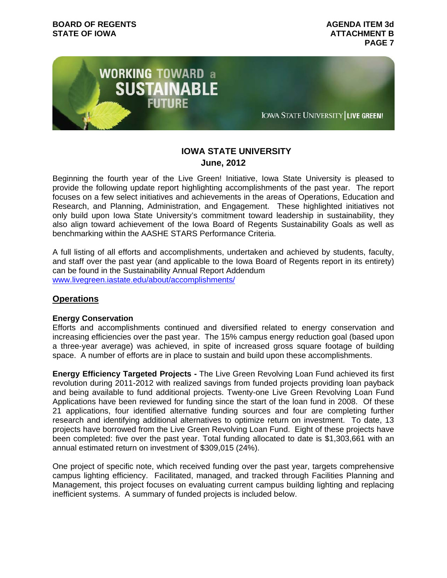

# **IOWA STATE UNIVERSITY June, 2012**

Beginning the fourth year of the Live Green! Initiative, Iowa State University is pleased to provide the following update report highlighting accomplishments of the past year. The report focuses on a few select initiatives and achievements in the areas of Operations, Education and Research, and Planning, Administration, and Engagement. These highlighted initiatives not only build upon Iowa State University's commitment toward leadership in sustainability, they also align toward achievement of the Iowa Board of Regents Sustainability Goals as well as benchmarking within the AASHE STARS Performance Criteria.

A full listing of all efforts and accomplishments, undertaken and achieved by students, faculty, and staff over the past year (and applicable to the Iowa Board of Regents report in its entirety) can be found in the Sustainability Annual Report Addendum www.livegreen.iastate.edu/about/accomplishments/

# **Operations**

## **Energy Conservation**

Efforts and accomplishments continued and diversified related to energy conservation and increasing efficiencies over the past year. The 15% campus energy reduction goal (based upon a three-year average) was achieved, in spite of increased gross square footage of building space. A number of efforts are in place to sustain and build upon these accomplishments.

**Energy Efficiency Targeted Projects -** The Live Green Revolving Loan Fund achieved its first revolution during 2011-2012 with realized savings from funded projects providing loan payback and being available to fund additional projects. Twenty-one Live Green Revolving Loan Fund Applications have been reviewed for funding since the start of the loan fund in 2008. Of these 21 applications, four identified alternative funding sources and four are completing further research and identifying additional alternatives to optimize return on investment. To date, 13 projects have borrowed from the Live Green Revolving Loan Fund. Eight of these projects have been completed: five over the past year. Total funding allocated to date is \$1,303,661 with an annual estimated return on investment of \$309,015 (24%).

One project of specific note, which received funding over the past year, targets comprehensive campus lighting efficiency. Facilitated, managed, and tracked through Facilities Planning and Management, this project focuses on evaluating current campus building lighting and replacing inefficient systems. A summary of funded projects is included below.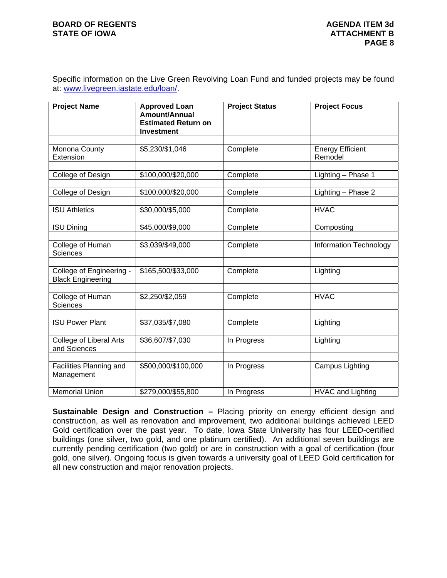Specific information on the Live Green Revolving Loan Fund and funded projects may be found at: www.livegreen.iastate.edu/loan/.

| <b>Project Name</b>                                  | <b>Approved Loan</b><br>Amount/Annual<br><b>Estimated Return on</b><br><b>Investment</b> | <b>Project Status</b> | <b>Project Focus</b>               |
|------------------------------------------------------|------------------------------------------------------------------------------------------|-----------------------|------------------------------------|
| Monona County<br>Extension                           | \$5,230/\$1,046                                                                          | Complete              | <b>Energy Efficient</b><br>Remodel |
| College of Design                                    | \$100,000/\$20,000                                                                       | Complete              | Lighting - Phase 1                 |
| College of Design                                    | \$100,000/\$20,000                                                                       | Complete              | Lighting - Phase 2                 |
| <b>ISU Athletics</b>                                 | \$30,000/\$5,000                                                                         | Complete              | <b>HVAC</b>                        |
| <b>ISU Dining</b>                                    | \$45,000/\$9,000                                                                         | Complete              | Composting                         |
| College of Human<br><b>Sciences</b>                  | \$3,039/\$49,000                                                                         | Complete              | Information Technology             |
| College of Engineering -<br><b>Black Engineering</b> | \$165,500/\$33,000                                                                       | Complete              | Lighting                           |
| College of Human<br>Sciences                         | \$2,250/\$2,059                                                                          | Complete              | <b>HVAC</b>                        |
| <b>ISU Power Plant</b>                               | \$37,035/\$7,080                                                                         | Complete              | Lighting                           |
| <b>College of Liberal Arts</b><br>and Sciences       | \$36,607/\$7,030                                                                         | In Progress           | Lighting                           |
| Facilities Planning and<br>Management                | \$500,000/\$100,000                                                                      | In Progress           | Campus Lighting                    |
| <b>Memorial Union</b>                                | \$279,000/\$55,800                                                                       | In Progress           | <b>HVAC and Lighting</b>           |

**Sustainable Design and Construction –** Placing priority on energy efficient design and construction, as well as renovation and improvement, two additional buildings achieved LEED Gold certification over the past year. To date, Iowa State University has four LEED-certified buildings (one silver, two gold, and one platinum certified). An additional seven buildings are currently pending certification (two gold) or are in construction with a goal of certification (four gold, one silver). Ongoing focus is given towards a university goal of LEED Gold certification for all new construction and major renovation projects.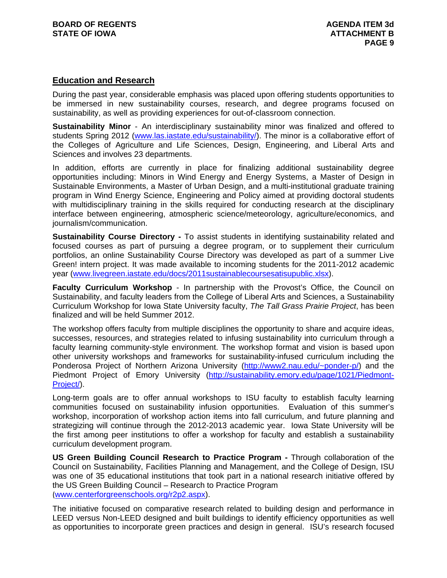## **Education and Research**

During the past year, considerable emphasis was placed upon offering students opportunities to be immersed in new sustainability courses, research, and degree programs focused on sustainability, as well as providing experiences for out-of-classroom connection.

**Sustainability Minor** - An interdisciplinary sustainability minor was finalized and offered to students Spring 2012 (www.las.iastate.edu/sustainability/). The minor is a collaborative effort of the Colleges of Agriculture and Life Sciences, Design, Engineering, and Liberal Arts and Sciences and involves 23 departments.

In addition, efforts are currently in place for finalizing additional sustainability degree opportunities including: Minors in Wind Energy and Energy Systems, a Master of Design in Sustainable Environments, a Master of Urban Design, and a multi-institutional graduate training program in Wind Energy Science, Engineering and Policy aimed at providing doctoral students with multidisciplinary training in the skills required for conducting research at the disciplinary interface between engineering, atmospheric science/meteorology, agriculture/economics, and journalism/communication.

**Sustainability Course Directory -** To assist students in identifying sustainability related and focused courses as part of pursuing a degree program, or to supplement their curriculum portfolios, an online Sustainability Course Directory was developed as part of a summer Live Green! intern project. It was made available to incoming students for the 2011-2012 academic year (www.livegreen.iastate.edu/docs/2011sustainablecoursesatisupublic.xlsx).

**Faculty Curriculum Workshop** - In partnership with the Provost's Office, the Council on Sustainability, and faculty leaders from the College of Liberal Arts and Sciences, a Sustainability Curriculum Workshop for Iowa State University faculty, *The Tall Grass Prairie Project*, has been finalized and will be held Summer 2012.

The workshop offers faculty from multiple disciplines the opportunity to share and acquire ideas, successes, resources, and strategies related to infusing sustainability into curriculum through a faculty learning community-style environment. The workshop format and vision is based upon other university workshops and frameworks for sustainability-infused curriculum including the Ponderosa Project of Northern Arizona University (http://www2.nau.edu/~ponder-p/) and the Piedmont Project of Emory University (http://sustainability.emory.edu/page/1021/Piedmont-Project/).

Long-term goals are to offer annual workshops to ISU faculty to establish faculty learning communities focused on sustainability infusion opportunities. Evaluation of this summer's workshop, incorporation of workshop action items into fall curriculum, and future planning and strategizing will continue through the 2012-2013 academic year. Iowa State University will be the first among peer institutions to offer a workshop for faculty and establish a sustainability curriculum development program.

**US Green Building Council Research to Practice Program -** Through collaboration of the Council on Sustainability, Facilities Planning and Management, and the College of Design, ISU was one of 35 educational institutions that took part in a national research initiative offered by the US Green Building Council – Research to Practice Program (www.centerforgreenschools.org/r2p2.aspx).

The initiative focused on comparative research related to building design and performance in LEED versus Non-LEED designed and built buildings to identify efficiency opportunities as well as opportunities to incorporate green practices and design in general. ISU's research focused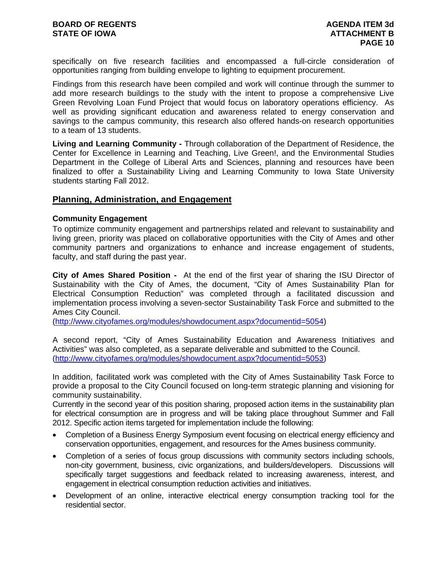specifically on five research facilities and encompassed a full-circle consideration of opportunities ranging from building envelope to lighting to equipment procurement.

Findings from this research have been compiled and work will continue through the summer to add more research buildings to the study with the intent to propose a comprehensive Live Green Revolving Loan Fund Project that would focus on laboratory operations efficiency. As well as providing significant education and awareness related to energy conservation and savings to the campus community, this research also offered hands-on research opportunities to a team of 13 students.

**Living and Learning Community -** Through collaboration of the Department of Residence, the Center for Excellence in Learning and Teaching, Live Green!, and the Environmental Studies Department in the College of Liberal Arts and Sciences, planning and resources have been finalized to offer a Sustainability Living and Learning Community to Iowa State University students starting Fall 2012.

### **Planning, Administration, and Engagement**

### **Community Engagement**

To optimize community engagement and partnerships related and relevant to sustainability and living green, priority was placed on collaborative opportunities with the City of Ames and other community partners and organizations to enhance and increase engagement of students, faculty, and staff during the past year.

**City of Ames Shared Position -** At the end of the first year of sharing the ISU Director of Sustainability with the City of Ames, the document, "City of Ames Sustainability Plan for Electrical Consumption Reduction" was completed through a facilitated discussion and implementation process involving a seven-sector Sustainability Task Force and submitted to the Ames City Council.

(http://www.cityofames.org/modules/showdocument.aspx?documentid=5054)

A second report, "City of Ames Sustainability Education and Awareness Initiatives and Activities" was also completed, as a separate deliverable and submitted to the Council. (http://www.cityofames.org/modules/showdocument.aspx?documentid=5053)

In addition, facilitated work was completed with the City of Ames Sustainability Task Force to provide a proposal to the City Council focused on long-term strategic planning and visioning for community sustainability.

Currently in the second year of this position sharing, proposed action items in the sustainability plan for electrical consumption are in progress and will be taking place throughout Summer and Fall 2012. Specific action items targeted for implementation include the following:

- Completion of a Business Energy Symposium event focusing on electrical energy efficiency and conservation opportunities, engagement, and resources for the Ames business community.
- Completion of a series of focus group discussions with community sectors including schools, non-city government, business, civic organizations, and builders/developers. Discussions will specifically target suggestions and feedback related to increasing awareness, interest, and engagement in electrical consumption reduction activities and initiatives.
- Development of an online, interactive electrical energy consumption tracking tool for the residential sector.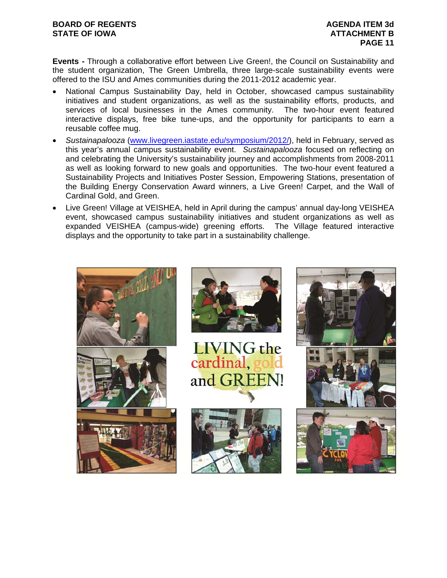### **BOARD OF REGENTS AGENUS AGENDA ITEM 3d STATE OF IOWA ATTACHMENT B**

**Events -** Through a collaborative effort between Live Green!, the Council on Sustainability and the student organization, The Green Umbrella, three large-scale sustainability events were offered to the ISU and Ames communities during the 2011-2012 academic year.

- National Campus Sustainability Day, held in October, showcased campus sustainability initiatives and student organizations, as well as the sustainability efforts, products, and services of local businesses in the Ames community. The two-hour event featured interactive displays, free bike tune-ups, and the opportunity for participants to earn a reusable coffee mug.
- *Sustainapalooza* (www.livegreen.iastate.edu/symposium/2012/), held in February, served as this year's annual campus sustainability event. *Sustainapalooza* focused on reflecting on and celebrating the University's sustainability journey and accomplishments from 2008-2011 as well as looking forward to new goals and opportunities. The two-hour event featured a Sustainability Projects and Initiatives Poster Session, Empowering Stations, presentation of the Building Energy Conservation Award winners, a Live Green! Carpet, and the Wall of Cardinal Gold, and Green.
- Live Green! Village at VEISHEA, held in April during the campus' annual day-long VEISHEA event, showcased campus sustainability initiatives and student organizations as well as expanded VEISHEA (campus-wide) greening efforts. The Village featured interactive displays and the opportunity to take part in a sustainability challenge.

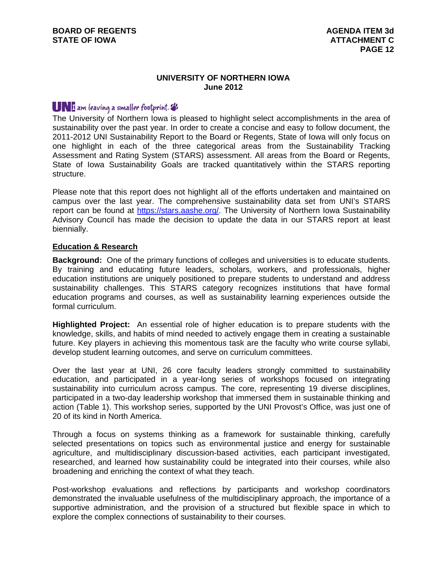#### **UNIVERSITY OF NORTHERN IOWA June 2012**

# **UNI** am leaving a smaller footprint.

The University of Northern Iowa is pleased to highlight select accomplishments in the area of sustainability over the past year. In order to create a concise and easy to follow document, the 2011-2012 UNI Sustainability Report to the Board or Regents, State of Iowa will only focus on one highlight in each of the three categorical areas from the Sustainability Tracking Assessment and Rating System (STARS) assessment. All areas from the Board or Regents, State of Iowa Sustainability Goals are tracked quantitatively within the STARS reporting structure.

Please note that this report does not highlight all of the efforts undertaken and maintained on campus over the last year. The comprehensive sustainability data set from UNI's STARS report can be found at https://stars.aashe.org/. The University of Northern Iowa Sustainability Advisory Council has made the decision to update the data in our STARS report at least biennially.

### **Education & Research**

**Background:** One of the primary functions of colleges and universities is to educate students. By training and educating future leaders, scholars, workers, and professionals, higher education institutions are uniquely positioned to prepare students to understand and address sustainability challenges. This STARS category recognizes institutions that have formal education programs and courses, as well as sustainability learning experiences outside the formal curriculum.

**Highlighted Project:** An essential role of higher education is to prepare students with the knowledge, skills, and habits of mind needed to actively engage them in creating a sustainable future. Key players in achieving this momentous task are the faculty who write course syllabi, develop student learning outcomes, and serve on curriculum committees.

Over the last year at UNI, 26 core faculty leaders strongly committed to sustainability education, and participated in a year-long series of workshops focused on integrating sustainability into curriculum across campus. The core, representing 19 diverse disciplines, participated in a two-day leadership workshop that immersed them in sustainable thinking and action (Table 1). This workshop series, supported by the UNI Provost's Office, was just one of 20 of its kind in North America.

Through a focus on systems thinking as a framework for sustainable thinking, carefully selected presentations on topics such as environmental justice and energy for sustainable agriculture, and multidisciplinary discussion-based activities, each participant investigated, researched, and learned how sustainability could be integrated into their courses, while also broadening and enriching the context of what they teach.

Post-workshop evaluations and reflections by participants and workshop coordinators demonstrated the invaluable usefulness of the multidisciplinary approach, the importance of a supportive administration, and the provision of a structured but flexible space in which to explore the complex connections of sustainability to their courses.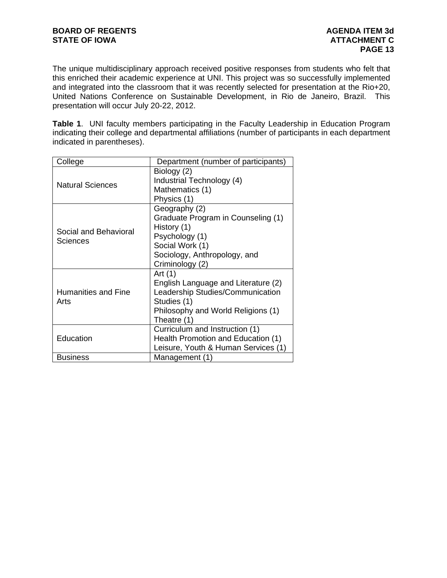The unique multidisciplinary approach received positive responses from students who felt that this enriched their academic experience at UNI. This project was so successfully implemented and integrated into the classroom that it was recently selected for presentation at the Rio+20, United Nations Conference on Sustainable Development, in Rio de Janeiro, Brazil. This presentation will occur July 20-22, 2012.

**Table 1**. UNI faculty members participating in the Faculty Leadership in Education Program indicating their college and departmental affiliations (number of participants in each department indicated in parentheses).

| College                                  | Department (number of participants)                                                                                                                                       |  |
|------------------------------------------|---------------------------------------------------------------------------------------------------------------------------------------------------------------------------|--|
| <b>Natural Sciences</b>                  | Biology (2)<br>Industrial Technology (4)<br>Mathematics (1)                                                                                                               |  |
| Social and Behavioral<br><b>Sciences</b> | Physics (1)<br>Geography (2)<br>Graduate Program in Counseling (1)<br>History (1)<br>Psychology (1)<br>Social Work (1)<br>Sociology, Anthropology, and<br>Criminology (2) |  |
| <b>Humanities and Fine</b><br>Arts       | Art $(1)$<br>English Language and Literature (2)<br>Leadership Studies/Communication<br>Studies (1)<br>Philosophy and World Religions (1)<br>Theatre (1)                  |  |
| Education                                | Curriculum and Instruction (1)<br>Health Promotion and Education (1)<br>Leisure, Youth & Human Services (1)                                                               |  |
| <b>Business</b>                          | Management (1)                                                                                                                                                            |  |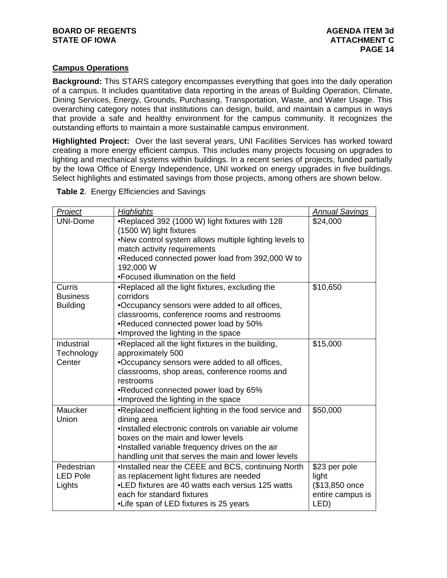### **Campus Operations**

**Background:** This STARS category encompasses everything that goes into the daily operation of a campus. It includes quantitative data reporting in the areas of Building Operation, Climate, Dining Services, Energy, Grounds, Purchasing, Transportation, Waste, and Water Usage. This overarching category notes that institutions can design, build, and maintain a campus in ways that provide a safe and healthy environment for the campus community. It recognizes the outstanding efforts to maintain a more sustainable campus environment.

**Highlighted Project:** Over the last several years, UNI Facilities Services has worked toward creating a more energy efficient campus. This includes many projects focusing on upgrades to lighting and mechanical systems within buildings. In a recent series of projects, funded partially by the Iowa Office of Energy Independence, UNI worked on energy upgrades in five buildings. Select highlights and estimated savings from those projects, among others are shown below.

**Table 2**. Energy Efficiencies and Savings

| <b>Project</b>  | <b>Highlights</b>                                            | <b>Annual Savings</b> |
|-----------------|--------------------------------------------------------------|-----------------------|
| UNI-Dome        | .Replaced 392 (1000 W) light fixtures with 128               | \$24,000              |
|                 | (1500 W) light fixtures                                      |                       |
|                 | .New control system allows multiple lighting levels to       |                       |
|                 | match activity requirements                                  |                       |
|                 | .Reduced connected power load from 392,000 W to<br>192,000 W |                       |
|                 | •Focused illumination on the field                           |                       |
| Curris          | .Replaced all the light fixtures, excluding the              | \$10,650              |
| <b>Business</b> | corridors                                                    |                       |
| <b>Building</b> | •Occupancy sensors were added to all offices,                |                       |
|                 | classrooms, conference rooms and restrooms                   |                       |
|                 | •Reduced connected power load by 50%                         |                       |
|                 | .Improved the lighting in the space                          |                       |
| Industrial      | .Replaced all the light fixtures in the building,            | \$15,000              |
| Technology      | approximately 500                                            |                       |
| Center          | .Occupancy sensors were added to all offices,                |                       |
|                 | classrooms, shop areas, conference rooms and                 |                       |
|                 | restrooms                                                    |                       |
|                 | •Reduced connected power load by 65%                         |                       |
|                 | . Improved the lighting in the space                         |                       |
| Maucker         | .Replaced inefficient lighting in the food service and       | \$50,000              |
| Union           | dining area                                                  |                       |
|                 | .Installed electronic controls on variable air volume        |                       |
|                 | boxes on the main and lower levels                           |                       |
|                 | .Installed variable frequency drives on the air              |                       |
|                 | handling unit that serves the main and lower levels          |                       |
| Pedestrian      | .Installed near the CEEE and BCS, continuing North           | \$23 per pole         |
| <b>LED Pole</b> | as replacement light fixtures are needed                     | light                 |
| Lights          | •LED fixtures are 40 watts each versus 125 watts             | (\$13,850 once        |
|                 | each for standard fixtures                                   | entire campus is      |
|                 | •Life span of LED fixtures is 25 years                       | LED)                  |